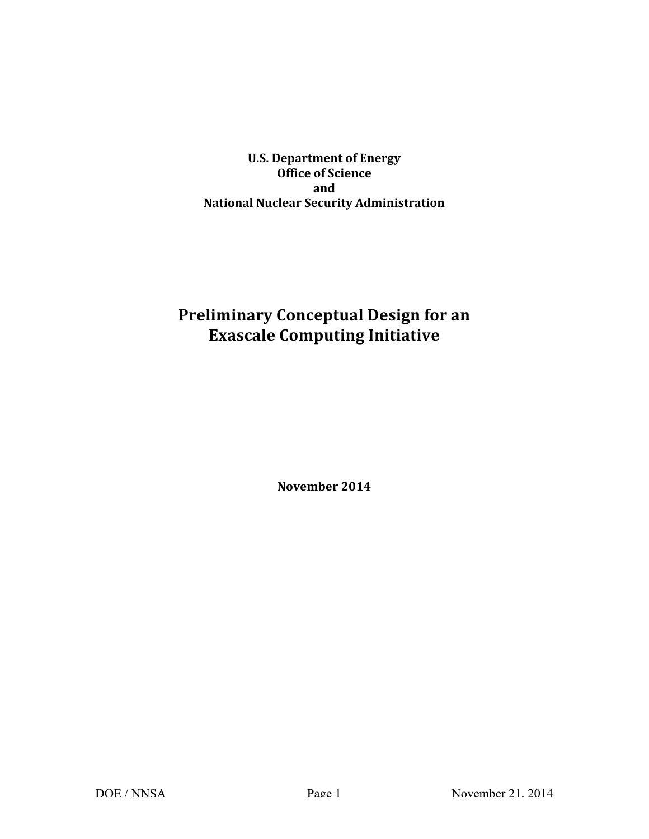**U.S. Department of Energy National Nuclear Security Administration Office of Science and**

# **Preliminary Conceptual Design for an Exascale Computing Initiative**

**November 2014**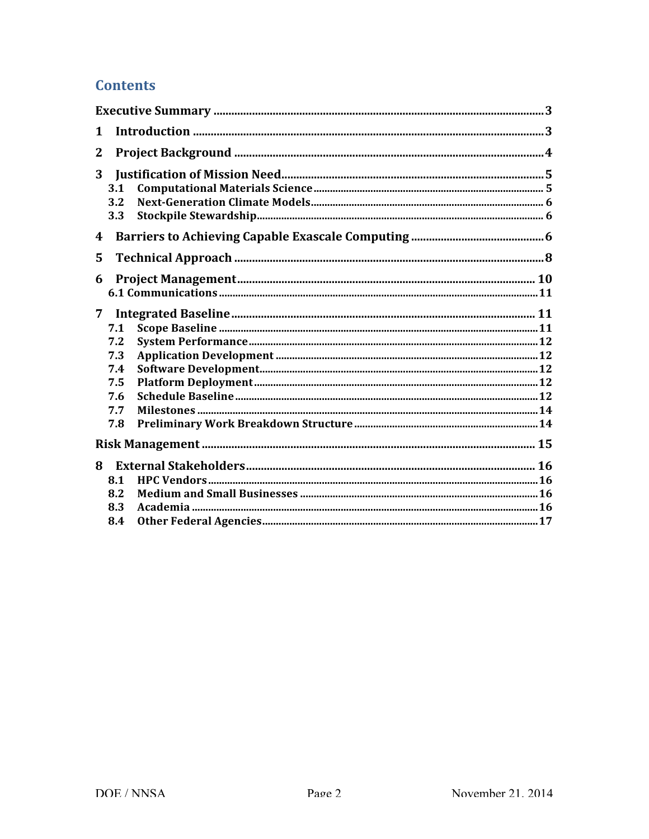## **Contents**

| 1            |     |  |  |  |  |  |
|--------------|-----|--|--|--|--|--|
| $\mathbf{2}$ |     |  |  |  |  |  |
| 3            | 3.1 |  |  |  |  |  |
|              | 3.2 |  |  |  |  |  |
|              | 3.3 |  |  |  |  |  |
|              |     |  |  |  |  |  |
| 4            |     |  |  |  |  |  |
| 5            |     |  |  |  |  |  |
| 6            |     |  |  |  |  |  |
|              |     |  |  |  |  |  |
| 7            |     |  |  |  |  |  |
|              | 7.1 |  |  |  |  |  |
|              | 7.2 |  |  |  |  |  |
|              | 7.3 |  |  |  |  |  |
|              | 7.4 |  |  |  |  |  |
|              | 7.5 |  |  |  |  |  |
|              | 7.6 |  |  |  |  |  |
|              | 7.7 |  |  |  |  |  |
|              | 7.8 |  |  |  |  |  |
|              |     |  |  |  |  |  |
| 8            |     |  |  |  |  |  |
|              | 8.1 |  |  |  |  |  |
|              | 8.2 |  |  |  |  |  |
|              | 8.3 |  |  |  |  |  |
|              | 8.4 |  |  |  |  |  |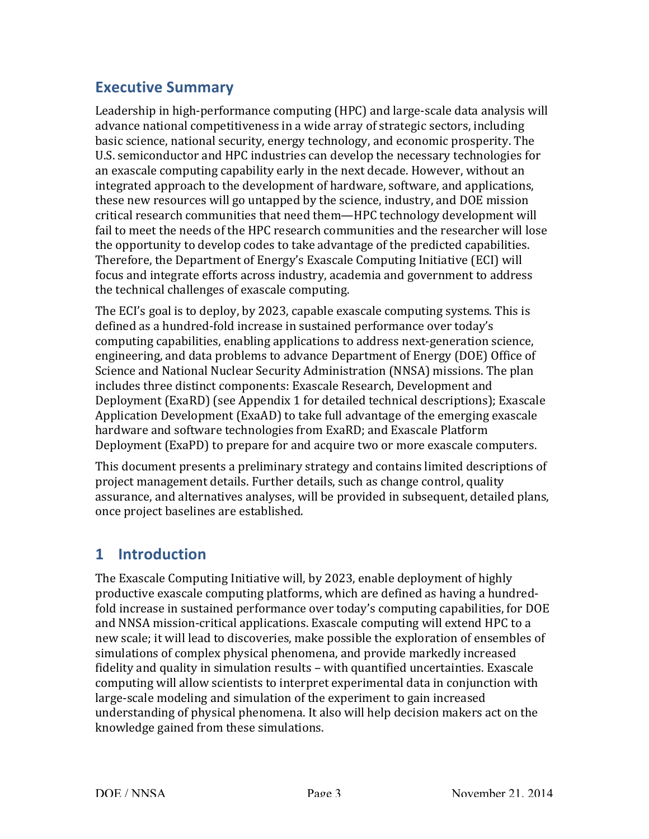## **Executive Summary**

Leadership in high-performance computing (HPC) and large-scale data analysis will advance national competitiveness in a wide array of strategic sectors, including basic science, national security, energy technology, and economic prosperity. The U.S. semiconductor and HPC industries can develop the necessary technologies for an exascale computing capability early in the next decade. However, without an integrated approach to the development of hardware, software, and applications, these new resources will go untapped by the science, industry, and DOE mission critical research communities that need them—HPC technology development will fail to meet the needs of the HPC research communities and the researcher will lose Therefore, the Department of Energy's Exascale Computing Initiative (ECI) will focus and integrate efforts across industry, academia and government to address the technical challenges of exascale computing. the opportunity to develop codes to take advantage of the predicted capabilities.

The ECI's goal is to deploy, by 2023, capable exascale computing systems. This is defined as a hundred-fold increase in sustained performance over today's computing capabilities, enabling applications to address next-generation science, engineering, and data problems to advance Department of Energy (DOE) Office of Science and National Nuclear Security Administration (NNSA) missions. The plan includes three distinct components: Exascale Research, Development and Deployment (ExaRD) (see Appendix 1 for detailed technical descriptions); Exascale Application Development (ExaAD) to take full advantage of the emerging exascale hardware and software technologies from ExaRD; and Exascale Platform Deployment (ExaPD) to prepare for and acquire two or more exascale computers.

This document presents a preliminary strategy and contains limited descriptions of project management details. Further details, such as change control, quality once project baselines are established. assurance, and alternatives analyses, will be provided in subsequent, detailed plans,

### **1 Introduction**

The Exascale Computing Initiative will, by 2023, enable deployment of highly productive exascale computing platforms, which are defined as having a hundredfold increase in sustained performance over today's computing capabilities, for DOE and NNSA mission-critical applications. Exascale computing will extend HPC to a new scale; it will lead to discoveries, make possible the exploration of ensembles of simulations of complex physical phenomena, and provide markedly increased fidelity and quality in simulation results - with quantified uncertainties. Exascale computing will allow scientists to interpret experimental data in conjunction with large-scale modeling and simulation of the experiment to gain increased understanding of physical phenomena. It also will help decision makers act on the knowledge gained from these simulations.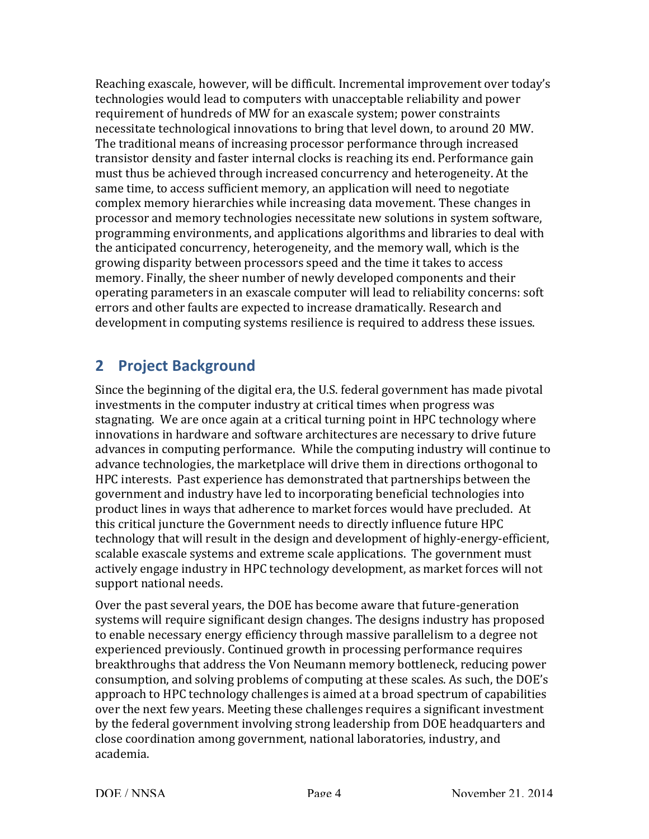Reaching exascale, however, will be difficult. Incremental improvement over today's technologies would lead to computers with unacceptable reliability and power requirement of hundreds of MW for an exascale system; power constraints The traditional means of increasing processor performance through increased transistor density and faster internal clocks is reaching its end. Performance gain must thus be achieved through increased concurrency and heterogeneity. At the same time, to access sufficient memory, an application will need to negotiate complex memory hierarchies while increasing data movement. These changes in processor and memory technologies necessitate new solutions in system software, programming environments, and applications algorithms and libraries to deal with growing disparity between processors speed and the time it takes to access memory. Finally, the sheer number of newly developed components and their operating parameters in an exascale computer will lead to reliability concerns: soft errors and other faults are expected to increase dramatically. Research and development in computing systems resilience is required to address these issues. necessitate technological innovations to bring that level down, to around 20 MW. the anticipated concurrency, heterogeneity, and the memory wall, which is the

### **2 Project Background**

 Since the beginning of the digital era, the U.S. federal government has made pivotal investments in the computer industry at critical times when progress was stagnating. We are once again at a critical turning point in HPC technology where advances in computing performance. While the computing industry will continue to advance technologies, the marketplace will drive them in directions orthogonal to HPC interests. Past experience has demonstrated that partnerships between the government and industry have led to incorporating beneficial technologies into product lines in ways that adherence to market forces would have precluded. At technology that will result in the design and development of highly-energy-efficient, scalable exascale systems and extreme scale applications. The government must actively engage industry in HPC technology development, as market forces will not support national needs. innovations in hardware and software architectures are necessary to drive future this critical juncture the Government needs to directly influence future HPC

Over the past several years, the DOE has become aware that future-generation systems will require significant design changes. The designs industry has proposed experienced previously. Continued growth in processing performance requires breakthroughs that address the Von Neumann memory bottleneck, reducing power consumption, and solving problems of computing at these scales. As such, the DOE's approach to HPC technology challenges is aimed at a broad spectrum of capabilities over the next few years. Meeting these challenges requires a significant investment by the federal government involving strong leadership from DOE headquarters and close coordination among government, national laboratories, industry, and to enable necessary energy efficiency through massive parallelism to a degree not academia.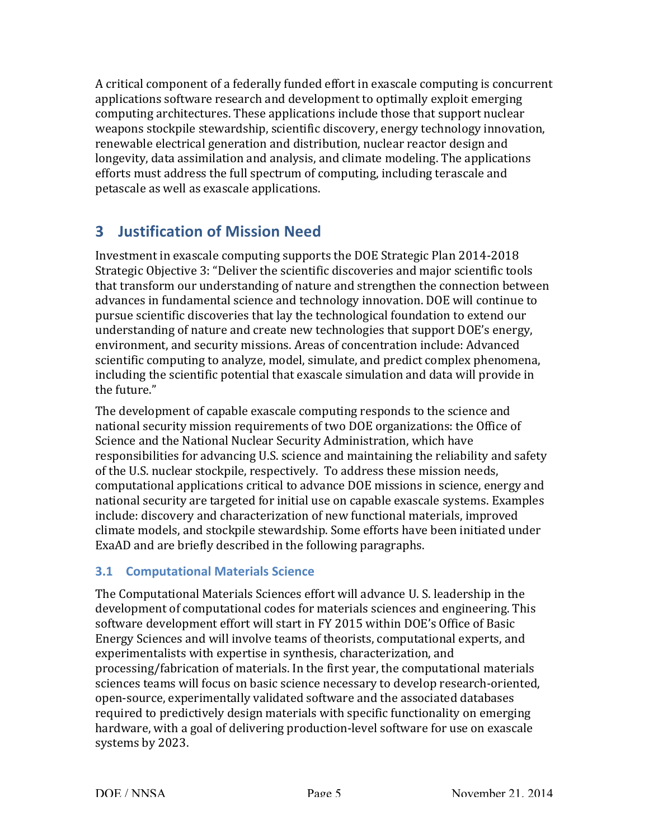A critical component of a federally funded effort in exascale computing is concurrent applications software research and development to optimally exploit emerging renewable electrical generation and distribution, nuclear reactor design and longevity, data assimilation and analysis, and climate modeling. The applications efforts must address the full spectrum of computing, including terascale and computing architectures. These applications include those that support nuclear weapons stockpile stewardship, scientific discovery, energy technology innovation, petascale as well as exascale applications.

## **3 Justification of Mission Need**

 Investment in exascale computing supports the DOE Strategic Plan 2014-2018 Strategic Objective 3: "Deliver the scientific discoveries and major scientific tools that transform our understanding of nature and strengthen the connection between advances in fundamental science and technology innovation. DOE will continue to environment, and security missions. Areas of concentration include: Advanced scientific computing to analyze, model, simulate, and predict complex phenomena, including the scientific potential that exascale simulation and data will provide in pursue scientific discoveries that lay the technological foundation to extend our understanding of nature and create new technologies that support DOE's energy, the future."

The development of capable exascale computing responds to the science and national security mission requirements of two DOE organizations: the Office of Science and the National Nuclear Security Administration, which have responsibilities for advancing U.S. science and maintaining the reliability and safety of the U.S. nuclear stockpile, respectively. To address these mission needs, computational applications critical to advance DOE missions in science, energy and national security are targeted for initial use on capable exascale systems. Examples include: discovery and characterization of new functional materials, improved climate models, and stockpile stewardship. Some efforts have been initiated under ExaAD and are briefly described in the following paragraphs.

### **3.1 Computational Materials Science**

The Computational Materials Sciences effort will advance U. S. leadership in the development of computational codes for materials sciences and engineering. This software development effort will start in FY 2015 within DOE's Office of Basic Energy Sciences and will involve teams of theorists, computational experts, and experimentalists with expertise in synthesis, characterization, and processing/fabrication of materials. In the first year, the computational materials sciences teams will focus on basic science necessary to develop research-oriented, open-source, experimentally validated software and the associated databases required to predictively design materials with specific functionality on emerging systems by 2023. hardware, with a goal of delivering production-level software for use on exascale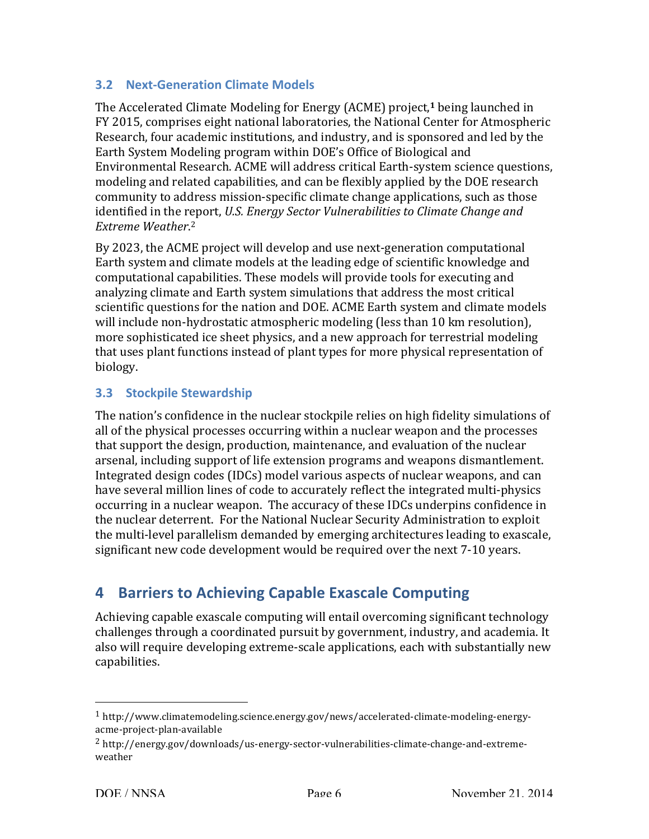#### **3.2 Next-Generation Climate Models**

The Accelerated Climate Modeling for Energy (ACME) project,<sup>1</sup> being launched in FY 2015, comprises eight national laboratories, the National Center for Atmospheric Earth System Modeling program within DOE's Office of Biological and Environmental Research. ACME will address critical Earth-system science questions, modeling and related capabilities, and can be flexibly applied by the DOE research community to address mission-specific climate change applications, such as those *identified in the report, U.S. Energy Sector Vulnerabilities to Climate Change and* Research, four academic institutions, and industry, and is sponsored and led by the *Extreme Weather*. 2

By 2023, the ACME project will develop and use next-generation computational Earth system and climate models at the leading edge of scientific knowledge and computational capabilities. These models will provide tools for executing and analyzing climate and Earth system simulations that address the most critical scientific questions for the nation and DOE. ACME Earth system and climate models will include non-hydrostatic atmospheric modeling (less than 10 km resolution), more sophisticated ice sheet physics, and a new approach for terrestrial modeling that uses plant functions instead of plant types for more physical representation of biology.

### **3.3 Stockpile Stewardship**

The nation's confidence in the nuclear stockpile relies on high fidelity simulations of that support the design, production, maintenance, and evaluation of the nuclear arsenal, including support of life extension programs and weapons dismantlement. Integrated design codes (IDCs) model various aspects of nuclear weapons, and can have several million lines of code to accurately reflect the integrated multi-physics the nuclear deterrent. For the National Nuclear Security Administration to exploit the multi-level parallelism demanded by emerging architectures leading to exascale, significant new code development would be required over the next 7-10 years. all of the physical processes occurring within a nuclear weapon and the processes occurring in a nuclear weapon. The accuracy of these IDCs underpins confidence in

### **4 Barriers to Achieving Capable Exascale Computing**

 Achieving capable exascale computing will entail overcoming significant technology challenges through a coordinated pursuit by government, industry, and academia. It also will require developing extreme-scale applications, each with substantially new capabilities.

 

<sup>1</sup> [http://www.climatemodeling.science.energy.gov/news/accelerated-climate-modeling-energy](http://www.climatemodeling.science.energy.gov/news/accelerated-�-climate-�-modeling-�-energy)acme-project-plan-available

<sup>2</sup> [http://energy.gov/downloads/us-energy-sector-vulnerabilities-climate-change-and-extreme](http://energy.gov/downloads/us-�-energy-�-sector-�-vulnerabilities-�-climate-�-change-�-and-�-extreme)weather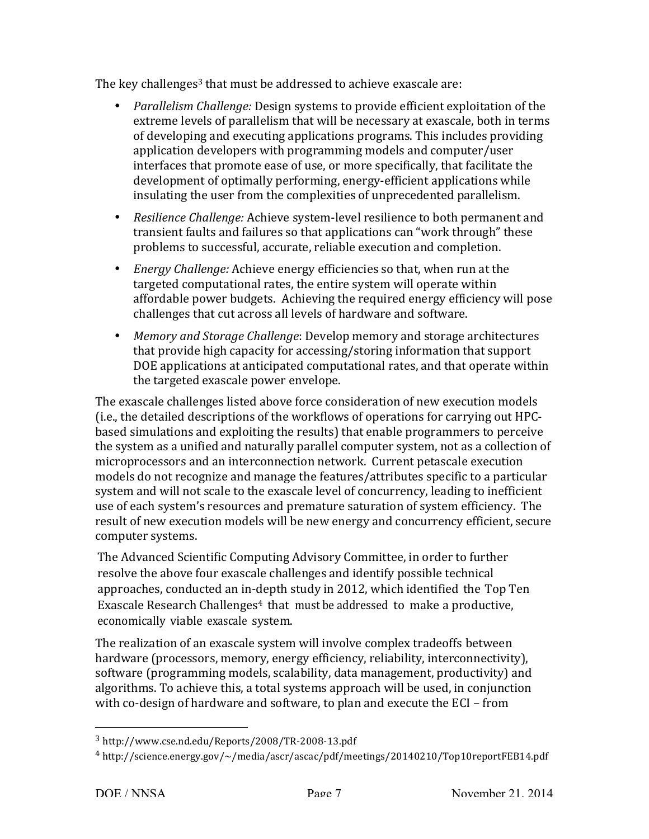The key challenges<sup>3</sup> that must be addressed to achieve exascale are:

- *Parallelism Challenge:* Design systems to provide efficient exploitation of the extreme levels of parallelism that will be necessary at exascale, both in terms of developing and executing applications programs. This includes providing application developers with programming models and computer/user interfaces that promote ease of use, or more specifically, that facilitate the development of optimally performing, energy-efficient applications while insulating the user from the complexities of unprecedented parallelism.
- Resilience Challenge: Achieve system-level resilience to both permanent and problems to successful, accurate, reliable execution and completion. transient faults and failures so that applications can "work through" these
- *Energy Challenge:* Achieve energy efficiencies so that, when run at the targeted computational rates, the entire system will operate within affordable power budgets. Achieving the required energy efficiency will pose challenges that cut across all levels of hardware and software.
- *Memory and Storage Challenge*: Develop memory and storage architectures that provide high capacity for accessing/storing information that support DOE applications at anticipated computational rates, and that operate within the targeted exascale power envelope.

The exascale challenges listed above force consideration of new execution models based simulations and exploiting the results) that enable programmers to perceive the system as a unified and naturally parallel computer system, not as a collection of microprocessors and an interconnection network. Current petascale execution models do not recognize and manage the features/attributes specific to a particular use of each system's resources and premature saturation of system efficiency. The result of new execution models will be new energy and concurrency efficient, secure computer systems. (i.e., the detailed descriptions of the workflows of operations for carrying out HPCsystem and will not scale to the exascale level of concurrency, leading to inefficient

The Advanced Scientific Computing Advisory Committee, in order to further approaches, conducted an in-depth study in 2012, which identified the Top Ten Exascale Research Challenges<sup>4</sup> that must be addressed to make a productive, resolve the above four exascale challenges and identify possible technical economically viable exascale system.

The realization of an exascale system will involve complex tradeoffs between hardware (processors, memory, energy efficiency, reliability, interconnectivity), software (programming models, scalability, data management, productivity) and algorithms. To achieve this, a total systems approach will be used, in conjunction with co-design of hardware and software, to plan and execute the ECI – from

 

<sup>3</sup> [http://www.cse.nd.edu/Reports/2008/TR-2008-13.pdf](http://www.cse.nd.edu/Reports/2008/TR-�-2008-�-13.pdf)

<sup>4</sup> <http://science.energy.gov/~/media/ascr/ascac/pdf/meetings/20140210/Top10reportFEB14.pdf>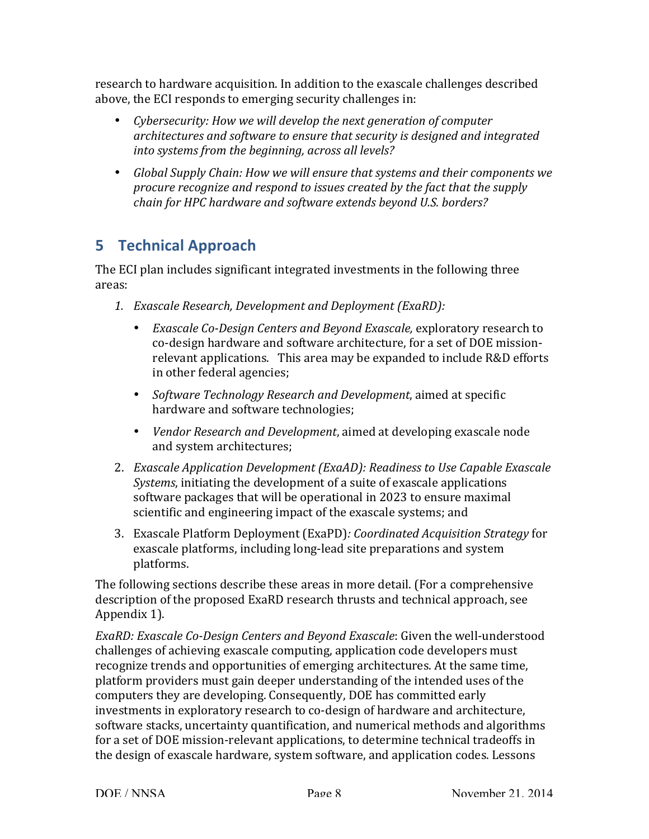above, the ECI responds to emerging security challenges in: research to hardware acquisition. In addition to the exascale challenges described

- *Cybersecurity: How we will develop the next generation of computer architectures and software to ensure that security is designed and integrated into systems from the beginning, across all levels?*
- *Global Supply Chain: How we will ensure that systems and their components we procure recognize and respond to issues created by the fact that the supply chain for HPC hardware and software extends beyond U.S. borders?*

## **5 Technical Approach**

The ECI plan includes significant integrated investments in the following three areas:

- *1. Exascale Research, Development and Deployment (ExaRD):*
	- *Exascale Co-Design Centers and Beyond Exascale, exploratory research to*  co-design hardware and software architecture, for a set of DOE missionrelevant applications. This area may be expanded to include R&D efforts in other federal agencies;
	- **•** Software Technology Research and Development, aimed at specific hardware and software technologies;
	- *Vendor Research and Development*, aimed at developing exascale node and system architectures;
- 2. *Exascale Application Development (ExaAD): Readiness to Use Capable Exascale Systems*, initiating the development of a suite of exascale applications software packages that will be operational in 2023 to ensure maximal scientific and engineering impact of the exascale systems; and
- 3. Exascale Platform Deployment (ExaPD)*: Coordinated Acquisition Strategy* for exascale platforms, including long-lead site preparations and system platforms.

The following sections describe these areas in more detail. (For a comprehensive description of the proposed ExaRD research thrusts and technical approach, see Appendix 1).

 *ExaRD: Exascale Co-Design Centers and Beyond Exascale*: Given the well-understood challenges of achieving exascale computing, application code developers must recognize trends and opportunities of emerging architectures. At the same time, platform providers must gain deeper understanding of the intended uses of the computers they are developing. Consequently, DOE has committed early investments in exploratory research to co-design of hardware and architecture, software stacks, uncertainty quantification, and numerical methods and algorithms for a set of DOE mission-relevant applications, to determine technical tradeoffs in the design of exascale hardware, system software, and application codes. Lessons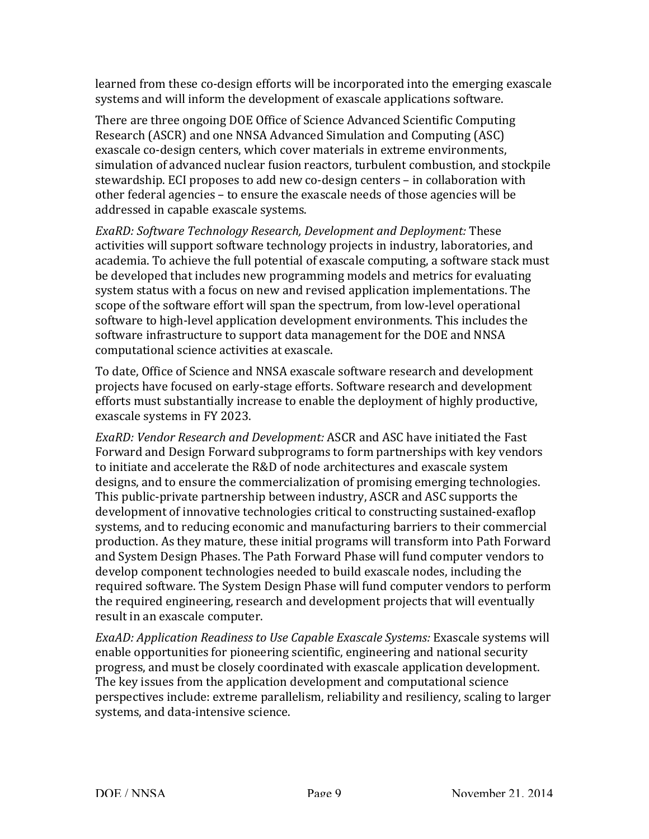learned from these co-design efforts will be incorporated into the emerging exascale systems and will inform the development of exascale applications software.

There are three ongoing DOE Office of Science Advanced Scientific Computing Research (ASCR) and one NNSA Advanced Simulation and Computing (ASC) exascale co-design centers, which cover materials in extreme environments, simulation of advanced nuclear fusion reactors, turbulent combustion, and stockpile stewardship. ECI proposes to add new co-design centers - in collaboration with addressed in capable exascale systems. other federal agencies - to ensure the exascale needs of those agencies will be

 *ExaRD: Software Technology Research, Development and Deployment:* These academia. To achieve the full potential of exascale computing, a software stack must be developed that includes new programming models and metrics for evaluating scope of the software effort will span the spectrum, from low-level operational software to high-level application development environments. This includes the software infrastructure to support data management for the DOE and NNSA computational science activities at exascale. activities will support software technology projects in industry, laboratories, and system status with a focus on new and revised application implementations. The

To date, Office of Science and NNSA exascale software research and development projects have focused on early-stage efforts. Software research and development efforts must substantially increase to enable the deployment of highly productive, exascale systems in FY 2023.

*ExaRD: Vendor Research and Development: ASCR and ASC have initiated the Fast* Forward and Design Forward subprograms to form partnerships with key vendors to initiate and accelerate the R&D of node architectures and exascale system designs, and to ensure the commercialization of promising emerging technologies. This public-private partnership between industry, ASCR and ASC supports the development of innovative technologies critical to constructing sustained-exaflop systems, and to reducing economic and manufacturing barriers to their commercial production. As they mature, these initial programs will transform into Path Forward and System Design Phases. The Path Forward Phase will fund computer vendors to develop component technologies needed to build exascale nodes, including the required software. The System Design Phase will fund computer vendors to perform the required engineering, research and development projects that will eventually result in an exascale computer.

 *ExaAD: Application Readiness to Use Capable Exascale Systems:* Exascale systems will progress, and must be closely coordinated with exascale application development. The key issues from the application development and computational science perspectives include: extreme parallelism, reliability and resiliency, scaling to larger systems, and data-intensive science. enable opportunities for pioneering scientific, engineering and national security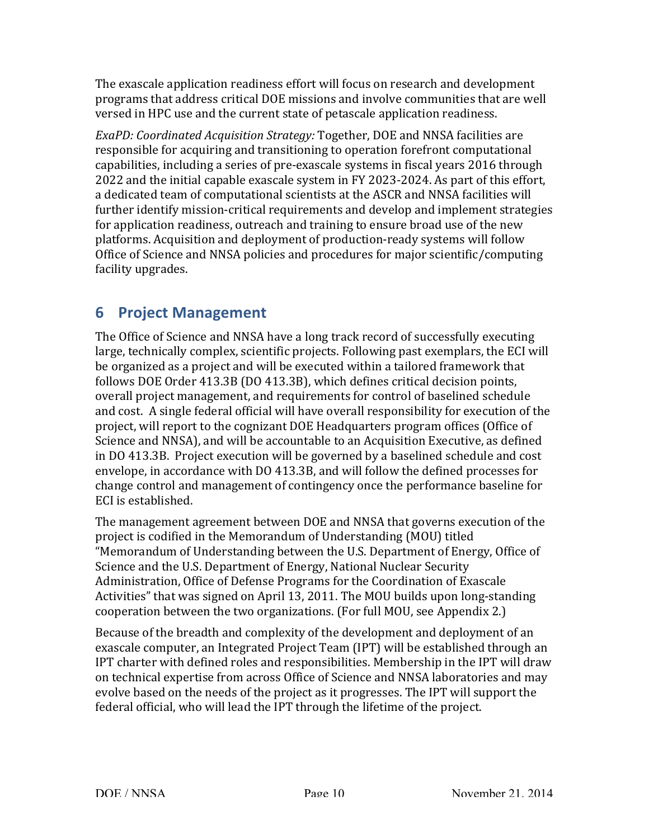The exascale application readiness effort will focus on research and development programs that address critical DOE missions and involve communities that are well versed in HPC use and the current state of petascale application readiness.

*ExaPD: Coordinated Acquisition Strategy: Together, DOE and NNSA facilities are* responsible for acquiring and transitioning to operation forefront computational capabilities, including a series of pre-exascale systems in fiscal years 2016 through 2022 and the initial capable exascale system in FY 2023-2024. As part of this effort, a dedicated team of computational scientists at the ASCR and NNSA facilities will further identify mission-critical requirements and develop and implement strategies platforms. Acquisition and deployment of production-ready systems will follow Office of Science and NNSA policies and procedures for major scientific/computing for application readiness, outreach and training to ensure broad use of the new facility upgrades.

## **6 Project Management**

The Office of Science and NNSA have a long track record of successfully executing large, technically complex, scientific projects. Following past exemplars, the ECI will be organized as a project and will be executed within a tailored framework that overall project management, and requirements for control of baselined schedule and cost. A single federal official will have overall responsibility for execution of the project, will report to the cognizant DOE Headquarters program offices (Office of Science and NNSA), and will be accountable to an Acquisition Executive, as defined in DO 413.3B. Project execution will be governed by a baselined schedule and cost change control and management of contingency once the performance baseline for follows DOE Order 413.3B (DO 413.3B), which defines critical decision points, envelope, in accordance with DO 413.3B, and will follow the defined processes for ECI is established.

The management agreement between DOE and NNSA that governs execution of the project is codified in the Memorandum of Understanding (MOU) titled "Memorandum of Understanding between the U.S. Department of Energy, Office of Science and the U.S. Department of Energy, National Nuclear Security Administration, Office of Defense Programs for the Coordination of Exascale Activities" that was signed on April 13, 2011. The MOU builds upon long-standing cooperation between the two organizations. (For full MOU, see Appendix 2.)

 Because of the breadth and complexity of the development and deployment of an exascale computer, an Integrated Project Team (IPT) will be established through an IPT charter with defined roles and responsibilities. Membership in the IPT will draw on technical expertise from across Office of Science and NNSA laboratories and may federal official, who will lead the IPT through the lifetime of the project. evolve based on the needs of the project as it progresses. The IPT will support the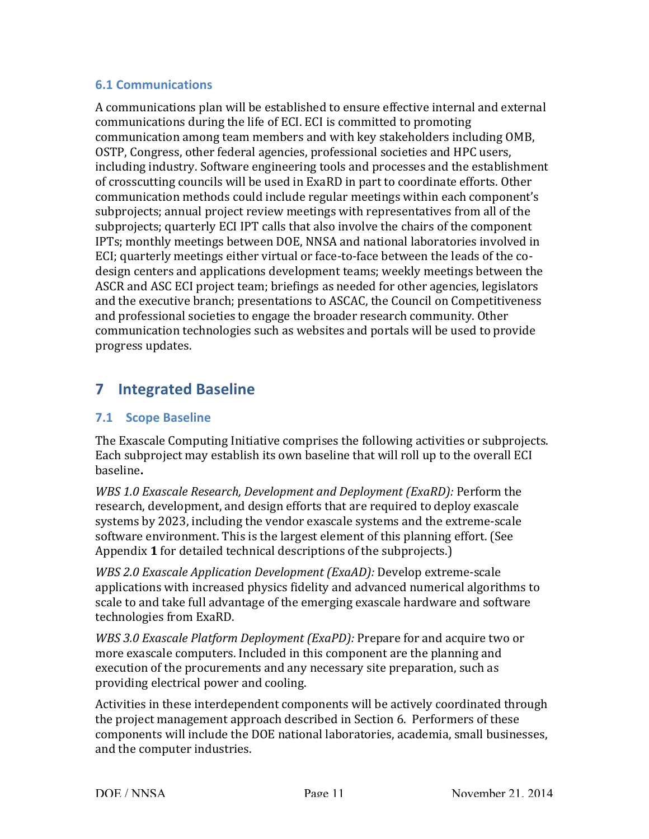#### **6.1 Communications**

A communications plan will be established to ensure effective internal and external communications during the life of ECI. ECI is committed to promoting communication among team members and with key stakeholders including OMB, including industry. Software engineering tools and processes and the establishment communication methods could include regular meetings within each component's subprojects; annual project review meetings with representatives from all of the subprojects; quarterly ECI IPT calls that also involve the chairs of the component IPTs; monthly meetings between DOE, NNSA and national laboratories involved in ECI; quarterly meetings either virtual or face-to-face between the leads of the co- design centers and applications development teams; weekly meetings between the ASCR and ASC ECI project team; briefings as needed for other agencies, legislators and the executive branch; presentations to ASCAC, the Council on Competitiveness and professional societies to engage the broader research community. Other communication technologies such as websites and portals will be used to provide OSTP, Congress, other federal agencies, professional societies and HPC users, of crosscutting councils will be used in ExaRD in part to coordinate efforts. Other progress updates.

## **7 Integrated Baseline**

### **7.1 Scope Baseline**

The Exascale Computing Initiative comprises the following activities or subprojects. Each subproject may establish its own baseline that will roll up to the overall ECI baseline**.** 

*WBS* 1.0 *Exascale Research, Development and Deployment (ExaRD):* Perform the research, development, and design efforts that are required to deploy exascale systems by 2023, including the vendor exascale systems and the extreme-scale software environment. This is the largest element of this planning effort. (See Appendix 1 for detailed technical descriptions of the subprojects.)

*WBS 2.0 Exascale Application Development (ExaAD):* Develop extreme-scale applications with increased physics fidelity and advanced numerical algorithms to scale to and take full advantage of the emerging exascale hardware and software technologies from ExaRD.

*WBS* 3.0 *Exascale Platform Deployment (ExaPD):* Prepare for and acquire two or more exascale computers. Included in this component are the planning and execution of the procurements and any necessary site preparation, such as providing electrical power and cooling.

Activities in these interdependent components will be actively coordinated through the project management approach described in Section 6. Performers of these components will include the DOE national laboratories, academia, small businesses, and the computer industries.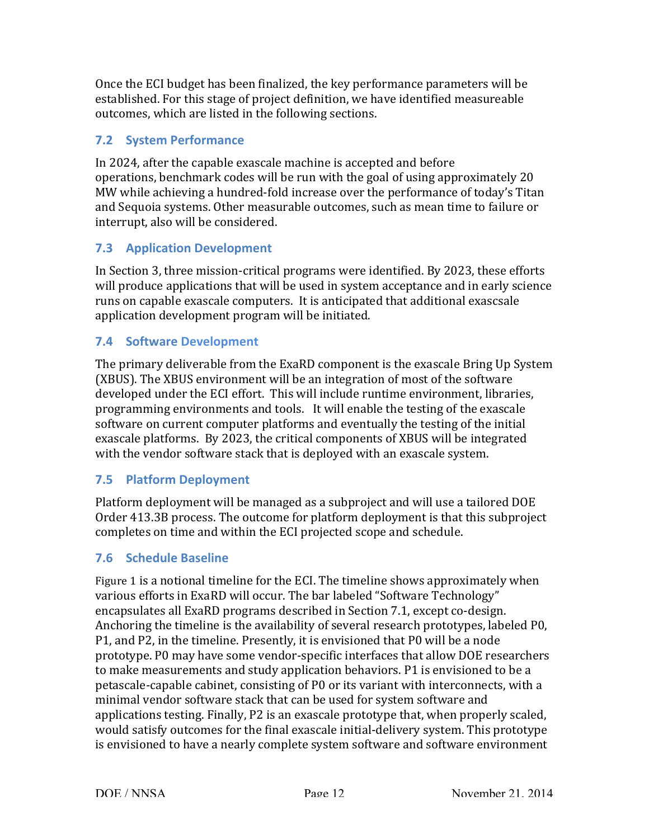Once the ECI budget has been finalized, the key performance parameters will be outcomes, which are listed in the following sections. established. For this stage of project definition, we have identified measureable

#### **7.2 System Performance**

In 2024, after the capable exascale machine is accepted and before operations, benchmark codes will be run with the goal of using approximately 20 MW while achieving a hundred-fold increase over the performance of today's Titan and Sequoia systems. Other measurable outcomes, such as mean time to failure or interrupt, also will be considered.

### **7.3 Application Development**

In Section 3, three mission-critical programs were identified. By 2023, these efforts runs on capable exascale computers. It is anticipated that additional exascsale application development program will be initiated. will produce applications that will be used in system acceptance and in early science

#### **7.4 Software Development**

The primary deliverable from the ExaRD component is the exascale Bring Up System (XBUS). The XBUS environment will be an integration of most of the software developed under the ECI effort. This will include runtime environment, libraries, programming environments and tools. It will enable the testing of the exascale software on current computer platforms and eventually the testing of the initial exascale platforms. By 2023, the critical components of XBUS will be integrated with the vendor software stack that is deployed with an exascale system.

#### **7.5 Platform Deployment**

Platform deployment will be managed as a subproject and will use a tailored DOE Order 413.3B process. The outcome for platform deployment is that this subproject completes on time and within the ECI projected scope and schedule.

#### **7.6 Schedule Baseline**

 Figure 1 is a notional timeline for the ECI. The timeline shows approximately when encapsulates all ExaRD programs described in Section 7.1, except co-design. Anchoring the timeline is the availability of several research prototypes, labeled P0, P1, and P2, in the timeline. Presently, it is envisioned that P0 will be a node prototype. P0 may have some vendor-specific interfaces that allow DOE researchers to make measurements and study application behaviors. P1 is envisioned to be a minimal vendor software stack that can be used for system software and would satisfy outcomes for the final exascale initial-delivery system. This prototype is envisioned to have a nearly complete system software and software environment various efforts in ExaRD will occur. The bar labeled "Software Technology" petascale-capable cabinet, consisting of P0 or its variant with interconnects, with a applications testing. Finally, P2 is an exascale prototype that, when properly scaled,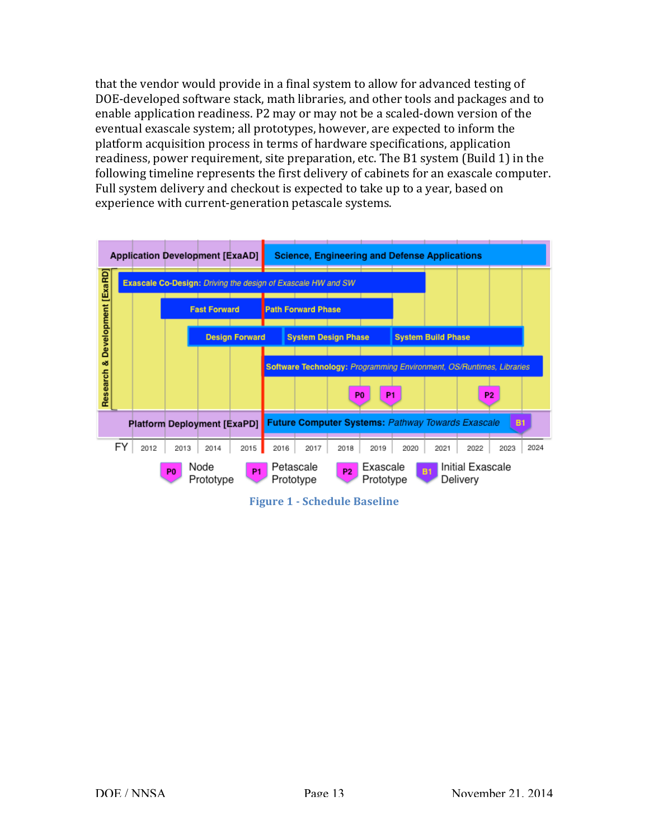that the vendor would provide in a final system to allow for advanced testing of DOE-developed software stack, math libraries, and other tools and packages and to enable application readiness. P2 may or may not be a scaled-down version of the eventual exascale system; all prototypes, however, are expected to inform the platform acquisition process in terms of hardware specifications, application readiness, power requirement, site preparation, etc. The B1 system (Build 1) in the following timeline represents the first delivery of cabinets for an exascale computer. Full system delivery and checkout is expected to take up to a year, based on experience with current-generation petascale systems.



 **Figure 1 - Schedule Baseline**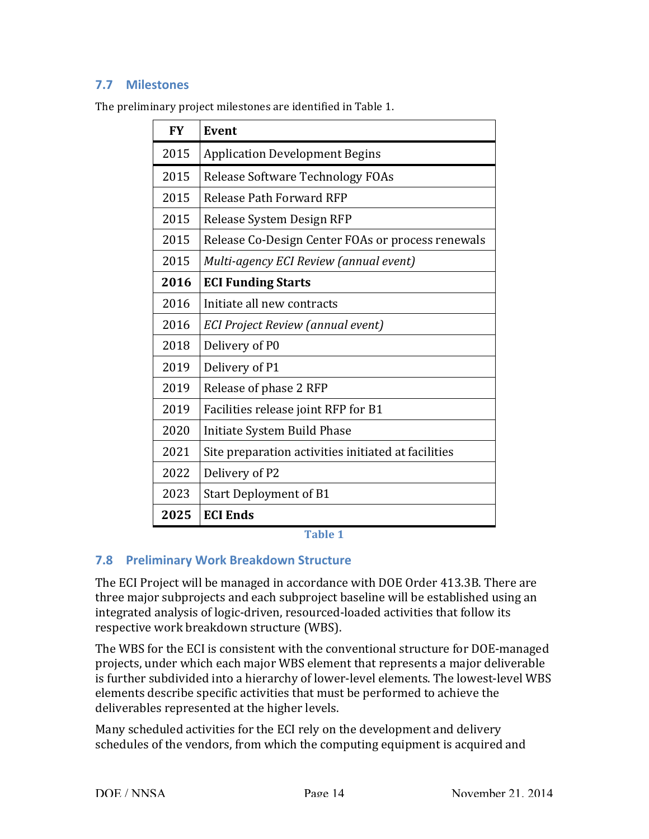### **7.7 Milestones**

| <b>FY</b> | Event                                               |  |  |  |  |
|-----------|-----------------------------------------------------|--|--|--|--|
| 2015      | <b>Application Development Begins</b>               |  |  |  |  |
| 2015      | Release Software Technology FOAs                    |  |  |  |  |
| 2015      | Release Path Forward RFP                            |  |  |  |  |
| 2015      | Release System Design RFP                           |  |  |  |  |
| 2015      | Release Co-Design Center FOAs or process renewals   |  |  |  |  |
| 2015      | Multi-agency ECI Review (annual event)              |  |  |  |  |
| 2016      | <b>ECI Funding Starts</b>                           |  |  |  |  |
| 2016      | Initiate all new contracts                          |  |  |  |  |
| 2016      | ECI Project Review (annual event)                   |  |  |  |  |
| 2018      | Delivery of P0                                      |  |  |  |  |
| 2019      | Delivery of P1                                      |  |  |  |  |
| 2019      | Release of phase 2 RFP                              |  |  |  |  |
| 2019      | Facilities release joint RFP for B1                 |  |  |  |  |
| 2020      | Initiate System Build Phase                         |  |  |  |  |
| 2021      | Site preparation activities initiated at facilities |  |  |  |  |
| 2022      | Delivery of P2                                      |  |  |  |  |
| 2023      | <b>Start Deployment of B1</b>                       |  |  |  |  |
| 2025      | <b>ECI Ends</b>                                     |  |  |  |  |

 The preliminary project milestones are identified in Table 1.

**Table 1**

#### **7.8 Preliminary Work Breakdown Structure**

The ECI Project will be managed in accordance with DOE Order 413.3B. There are three major subprojects and each subproject baseline will be established using an integrated analysis of logic-driven, resourced-loaded activities that follow its respective work breakdown structure (WBS).

projects, under which each major WBS element that represents a major deliverable is further subdivided into a hierarchy of lower-level elements. The lowest-level WBS elements describe specific activities that must be performed to achieve the The WBS for the ECI is consistent with the conventional structure for DOE-managed deliverables represented at the higher levels.

Many scheduled activities for the ECI rely on the development and delivery schedules of the vendors, from which the computing equipment is acquired and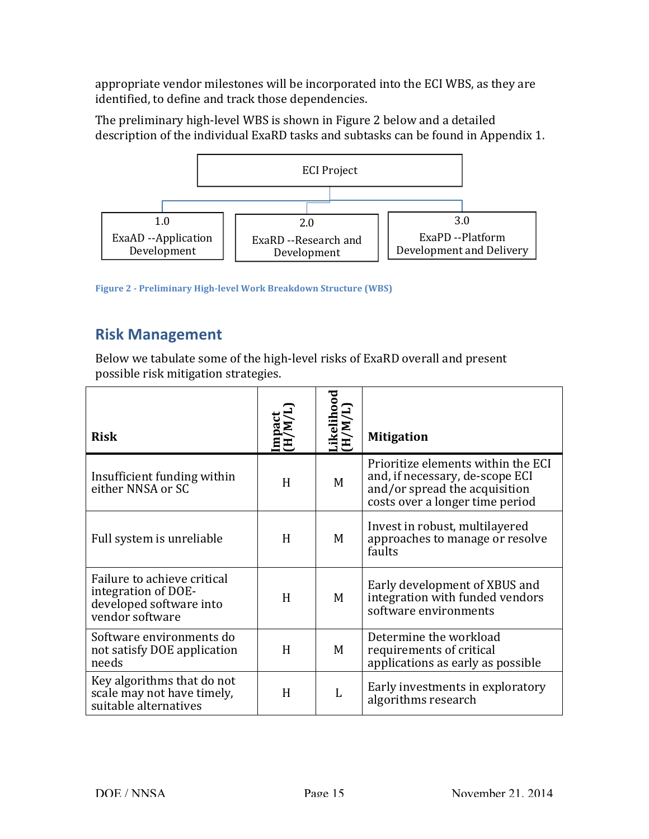appropriate vendor milestones will be incorporated into the ECI WBS, as they are identified, to define and track those dependencies.

The preliminary high-level WBS is shown in Figure 2 below and a detailed description of the individual ExaRD tasks and subtasks can be found in Appendix 1.



 **Figure 2 - Preliminary High-level Work Breakdown Structure (WBS)**

## **Risk Management**

Below we tabulate some of the high-level risks of ExaRD overall and present possible risk mitigation strategies.

| <b>Risk</b>                                                                                      | Impact<br>(H/M/l | Likelihood<br>(H/M/L) | <b>Mitigation</b>                                                                                                                         |
|--------------------------------------------------------------------------------------------------|------------------|-----------------------|-------------------------------------------------------------------------------------------------------------------------------------------|
| Insufficient funding within<br>either NNSA or SC                                                 | H                | M                     | Prioritize elements within the ECI<br>and, if necessary, de-scope ECI<br>and/or spread the acquisition<br>costs over a longer time period |
| Full system is unreliable                                                                        | H                | M                     | Invest in robust, multilayered<br>approaches to manage or resolve<br>faults                                                               |
| Failure to achieve critical<br>integration of DOE-<br>developed software into<br>vendor software | H                | M                     | Early development of XBUS and<br>integration with funded vendors<br>software environments                                                 |
| Software environments do<br>not satisfy DOE application<br>needs                                 | H                | M                     | Determine the workload<br>requirements of critical<br>applications as early as possible                                                   |
| Key algorithms that do not<br>scale may not have timely,<br>suitable alternatives                | H                | L                     | Early investments in exploratory<br>algorithms research                                                                                   |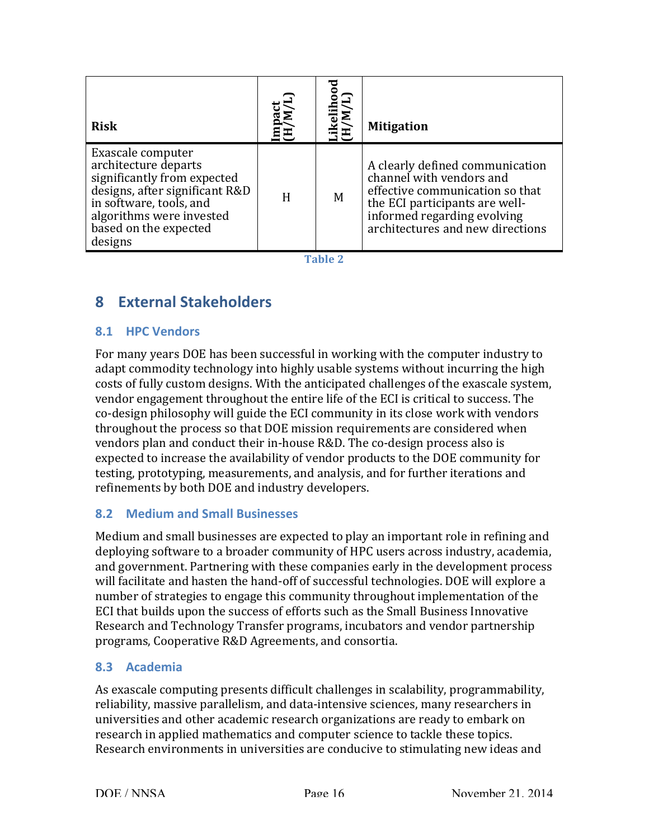| <b>Risk</b>                                                                                                                                                                                           | nact<br>M/I<br>DE<br>H | иV<br>НД<br>Н | <b>Mitigation</b>                                                                                                                                                                                   |
|-------------------------------------------------------------------------------------------------------------------------------------------------------------------------------------------------------|------------------------|---------------|-----------------------------------------------------------------------------------------------------------------------------------------------------------------------------------------------------|
| Exascale computer<br>architecture departs<br>significantly from expected<br>designs, after significant R&D<br>in software, tools, and<br>algorithms were invested<br>based on the expected<br>designs | H                      | M             | A clearly defined communication<br>channel with vendors and<br>effective communication so that<br>the ECI participants are well-<br>informed regarding evolving<br>architectures and new directions |

**Table 2**

## **8 External Stakeholders**

### **8.1 HPC Vendors**

For many years DOE has been successful in working with the computer industry to adapt commodity technology into highly usable systems without incurring the high costs of fully custom designs. With the anticipated challenges of the exascale system, vendor engagement throughout the entire life of the ECI is critical to success. The co-design philosophy will guide the ECI community in its close work with vendors throughout the process so that DOE mission requirements are considered when vendors plan and conduct their in-house R&D. The co-design process also is expected to increase the availability of vendor products to the DOE community for testing, prototyping, measurements, and analysis, and for further iterations and refinements by both DOE and industry developers.

### **8.2 Medium and Small Businesses**

Medium and small businesses are expected to play an important role in refining and deploying software to a broader community of HPC users across industry, academia, and government. Partnering with these companies early in the development process number of strategies to engage this community throughout implementation of the ECI that builds upon the success of efforts such as the Small Business Innovative programs, Cooperative R&D Agreements, and consortia. will facilitate and hasten the hand-off of successful technologies. DOE will explore a Research and Technology Transfer programs, incubators and vendor partnership

#### **8.3 Academia**

 As exascale computing presents difficult challenges in scalability, programmability, reliability, massive parallelism, and data-intensive sciences, many researchers in universities and other academic research organizations are ready to embark on research in applied mathematics and computer science to tackle these topics. Research environments in universities are conducive to stimulating new ideas and